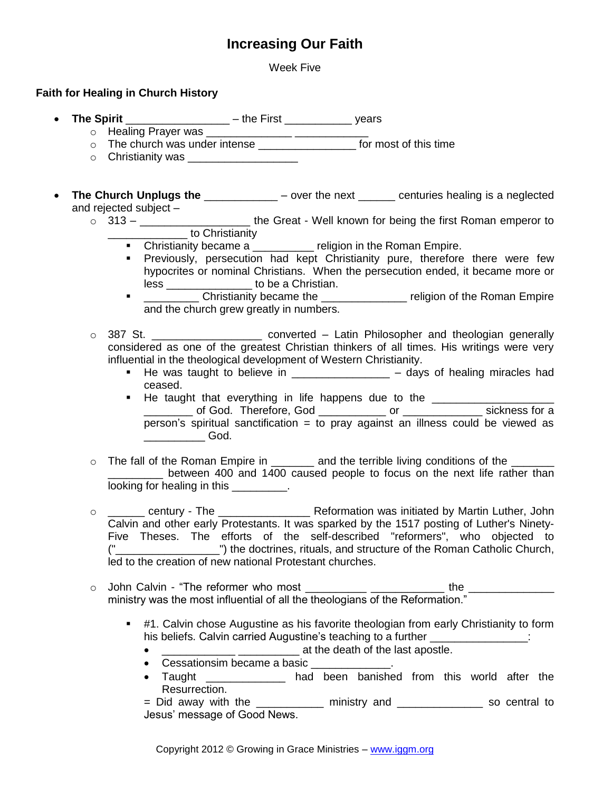# **Increasing Our Faith**

Week Five

## **Faith for Healing in Church History**

- **The Spirit** \_\_\_\_\_\_\_\_\_\_\_\_\_\_\_\_\_ the First \_\_\_\_\_\_\_\_\_\_\_ years
	- $\circ$  Healing Prayer was
	- $\circ$  The church was under intense  $\overline{\qquad \qquad}$  for most of this time
	- $\circ$  Christianity was
- **The Church Unplugs the** \_\_\_\_\_\_\_\_\_\_\_\_ over the next \_\_\_\_\_\_ centuries healing is a neglected and rejected subject –
	- o 313 \_\_\_\_\_\_\_\_\_\_\_\_\_\_\_\_\_\_\_\_\_\_\_ the Great Well known for being the first Roman emperor to [\\_\\_\\_\\_\\_\\_\\_\\_\\_\\_\\_\\_\\_](http://en.wikipedia.org/wiki/Constantine_the_Great_and_Christianity) to [Christianity](http://en.wikipedia.org/wiki/Christianity)
		- Christianity became a \_\_\_\_\_\_\_\_\_ religion in the Roman Empire.
			- **Previously, persecution had kept Christianity pure, therefore there were few** hypocrites or nominal Christians. When the persecution ended, it became more or less to be a Christian.
			- **T** \_\_\_\_\_\_\_\_\_\_\_ Christianity became the \_\_\_\_\_\_\_\_\_\_\_\_\_\_\_\_ religion of the Roman Empire and the church grew greatly in numbers.
	- o 387 St. \_\_\_\_\_\_\_\_\_\_\_\_\_\_\_\_\_\_\_\_\_\_ converted Latin Philosopher and theologian generally considered as one of the greatest Christian thinkers of all times. His writings were very influential in the theological development of [Western Christianity.](http://en.wikipedia.org/wiki/Western_Christianity)
		- He was taught to believe in \_\_\_\_\_\_\_\_\_\_\_\_\_\_\_\_ days of healing miracles had ceased.
		- He taught that everything in life happens due to the \_\_\_\_\_\_\_\_\_\_\_\_\_\_\_\_\_\_\_\_\_\_\_\_\_ \_\_\_\_\_\_\_\_ of God. Therefore, God \_\_\_\_\_\_\_\_\_\_\_ or \_\_\_\_\_\_\_\_\_\_\_\_\_ sickness for a person's spiritual sanctification = to pray against an illness could be viewed as \_\_\_\_\_\_\_\_\_\_ God.
	- $\circ$  The fall of the Roman Empire in  $\qquad \qquad$  and the terrible living conditions of the between 400 and 1400 caused people to focus on the next life rather than looking for healing in this  $\qquad \qquad$ .
	- o \_\_\_\_\_\_\_ century The \_\_\_\_\_\_\_\_\_\_\_\_\_\_\_\_\_\_\_ Reformation was initiated by [Martin Luther,](http://en.wikipedia.org/wiki/Martin_Luther) John [Calvin](http://en.wikipedia.org/wiki/John_Calvin) and other early [Protestants.](http://en.wikipedia.org/wiki/Protestants) It was sparked by the 1517 posting of Luther's [Ninety-](http://en.wikipedia.org/wiki/Ninety-Five_Theses)[Five Theses.](http://en.wikipedia.org/wiki/Ninety-Five_Theses) The efforts of the self-described "reformers", who objected to ("\_\_\_\_\_\_\_\_\_\_\_\_\_\_\_\_\_") the doctrines, rituals, and structure of the [Roman Catholic Church,](http://en.wikipedia.org/wiki/Roman_Catholic_Church) led to the creation of new national [Protestant](http://en.wikipedia.org/wiki/Protestantism) churches.
	- o John Calvin "The reformer who most \_\_\_\_\_\_\_\_\_\_ \_\_\_\_\_\_\_\_\_\_\_\_ the \_\_\_\_\_\_\_\_\_\_\_\_\_\_ ministry was the most influential of all the theologians of the Reformation."
		- **#1. Calvin chose Augustine as his favorite theologian from early Christianity to form** his beliefs. Calvin carried Augustine's teaching to a further **contained and the set of the set of the set of the set of the set of the set of the set of the set of the set of the set of the set of the set of the set of th** 
			- \_\_\_\_\_\_\_\_\_\_\_\_ \_\_\_\_\_\_\_\_\_\_ at the death of the last apostle.
			- Cessationsim became a basic \_\_\_\_
			- Taught **been** banished from this world after the Resurrection.
			- = Did away with the \_\_\_\_\_\_\_\_\_\_\_ ministry and \_\_\_\_\_\_\_\_\_\_\_\_\_\_ so central to Jesus' message of Good News.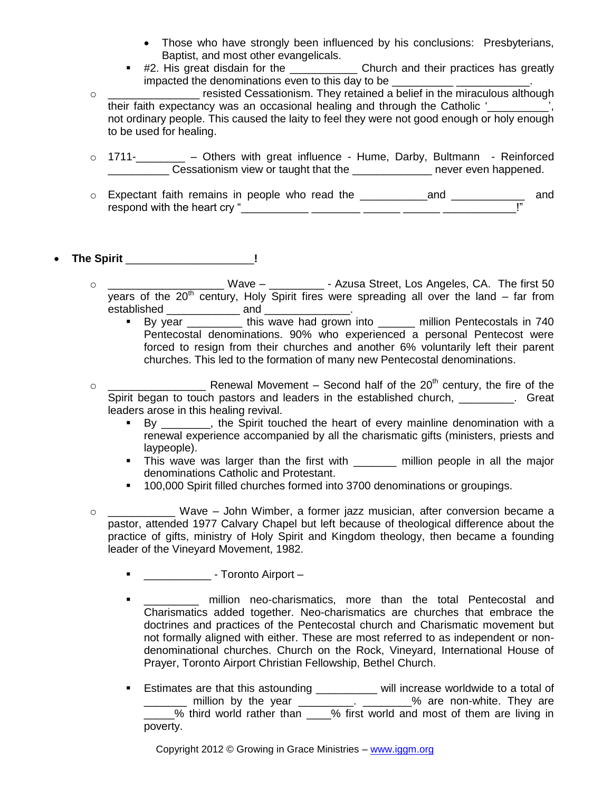- Those who have strongly been influenced by his conclusions: Presbyterians, Baptist, and most other evangelicals.
- #2. His great disdain for the \_\_\_\_\_\_\_\_\_\_\_\_\_\_ Church and their practices has greatly impacted the denominations even to this day to be
- o \_\_\_\_\_\_\_\_\_\_\_\_\_\_\_ resisted Cessationism. They retained a belief in the miraculous although their faith expectancy was an occasional healing and through the Catholic ' not ordinary people. This caused the laity to feel they were not good enough or holy enough to be used for healing.
- o 1711-\_\_\_\_\_\_\_\_ Others with great influence Hume, Darby, Bultmann Reinforced Cessationism view or taught that the example of the never even happened.
- o Expectant faith remains in people who read the \_\_\_\_\_\_\_\_\_\_\_and \_\_\_\_\_\_\_\_\_\_\_\_ and respond with the heart cry "

# **The Spirit** \_\_\_\_\_\_\_\_\_\_\_\_\_\_\_\_\_\_\_\_\_**!**

- Wave \_\_\_\_\_\_\_\_\_\_\_\_\_ Azusa Street, Los Angeles, CA. The first 50 years of the  $20<sup>th</sup>$  century, Holy Spirit fires were spreading all over the land – far from established \_\_\_\_\_\_\_\_\_\_\_\_ and \_\_\_\_\_\_\_\_\_\_\_\_\_\_.
	- By year \_\_\_\_\_\_\_\_\_\_\_\_\_ this wave had grown into \_\_\_\_\_\_\_ million Pentecostals in 740 Pentecostal denominations. 90% who experienced a personal Pentecost were forced to resign from their churches and another 6% voluntarily left their parent churches. This led to the formation of many new Pentecostal denominations.
- o \_\_\_\_\_\_\_\_\_\_\_\_\_\_\_\_ Renewal Movement Second half of the 20th century, the fire of the Spirit began to touch pastors and leaders in the established church, The angle of the Great leaders arose in this healing revival.
	- By \_\_\_\_\_\_, the Spirit touched the heart of every mainline denomination with a renewal experience accompanied by all the charismatic gifts (ministers, priests and laypeople).
	- This wave was larger than the first with million people in all the major denominations Catholic and Protestant.
	- 100,000 Spirit filled churches formed into 3700 denominations or groupings.
- o \_\_\_\_\_\_\_\_\_\_\_ Wave John Wimber, a former jazz musician, after conversion became a pastor, attended 1977 Calvary Chapel but left because of theological difference about the practice of gifts, ministry of Holy Spirit and Kingdom theology, then became a founding leader of the Vineyard Movement, 1982.
	- **-** \_\_\_\_\_\_\_\_\_\_\_\_\_\_ Toronto Airport –
	- **TECT** million neo-charismatics, more than the total Pentecostal and Charismatics added together. Neo-charismatics are churches that embrace the doctrines and practices of the Pentecostal church and Charismatic movement but not formally aligned with either. These are most referred to as independent or nondenominational churches. Church on the Rock, Vineyard, International House of Prayer, Toronto Airport Christian Fellowship, Bethel Church.
	- **Estimates are that this astounding \_\_\_\_\_\_\_\_** will increase worldwide to a total of \_\_\_\_\_\_\_ million by the year \_\_\_\_\_\_\_\_\_. \_\_\_\_\_\_\_\_% are non-white. They are \_\_\_\_\_% third world rather than \_\_\_\_% first world and most of them are living in poverty.

Copyright 2012 © Growing in Grace Ministries – www.iggm.org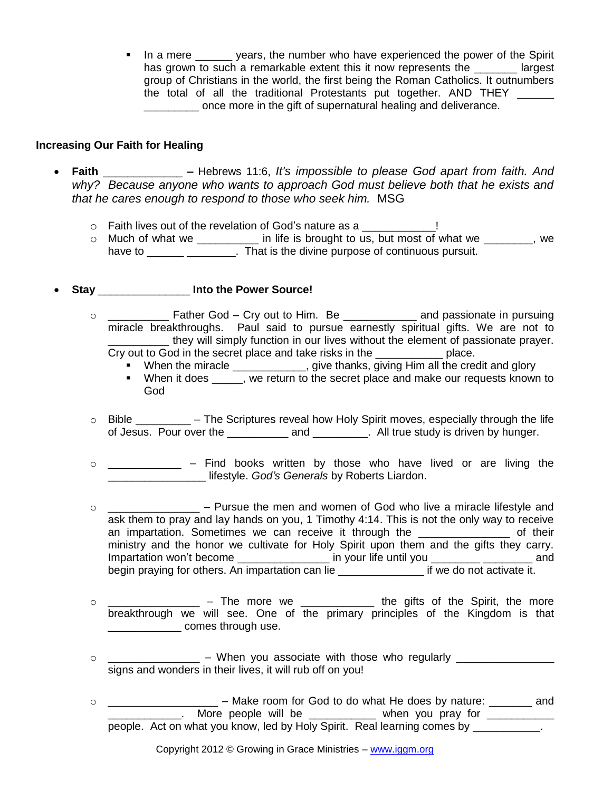In a mere wears, the number who have experienced the power of the Spirit has grown to such a remarkable extent this it now represents the largest group of Christians in the world, the first being the Roman Catholics. It outnumbers the total of all the traditional Protestants put together. AND THEY once more in the gift of supernatural healing and deliverance.

#### **Increasing Our Faith for Healing**

- **Faith** \_\_\_\_\_\_\_\_\_\_\_\_\_ **–** Hebrews 11:6, *It's impossible to please God apart from faith. And why? Because anyone who wants to approach God must believe both that he exists and that he cares enough to respond to those who seek him.* MSG
	- o Faith lives out of the revelation of God's nature as a \_\_\_\_\_\_\_\_\_\_!
	- o Much of what we \_\_\_\_\_\_\_\_\_\_ in life is brought to us, but most of what we \_\_\_\_\_\_\_, we have to **Example 20** That is the divine purpose of continuous pursuit.
- **Stay** \_\_\_\_\_\_\_\_\_\_\_\_\_\_\_ **Into the Power Source!** 
	- o \_\_\_\_\_\_\_\_\_\_\_ Father God Cry out to Him. Be \_\_\_\_\_\_\_\_\_\_\_\_\_ and passionate in pursuing miracle breakthroughs. Paul said to pursue earnestly spiritual gifts. We are not to they will simply function in our lives without the element of passionate prayer. Cry out to God in the secret place and take risks in the **contact of the contact** place.
		- When the miracle \_\_\_\_\_\_\_\_\_\_\_, give thanks, giving Him all the credit and glory
		- When it does , we return to the secret place and make our requests known to God
	- o Bible \_\_\_\_\_\_\_\_\_ The Scriptures reveal how Holy Spirit moves, especially through the life of Jesus. Pour over the \_\_\_\_\_\_\_\_\_\_\_\_ and \_\_\_\_\_\_\_\_. All true study is driven by hunger.
	- o \_\_\_\_\_\_\_\_\_\_\_\_ Find books written by those who have lived or are living the \_\_\_\_\_\_\_\_\_\_\_\_\_\_\_\_ lifestyle. *God's Generals* by Roberts Liardon.
	- o \_\_\_\_\_\_\_\_\_\_\_\_\_\_\_ Pursue the men and women of God who live a miracle lifestyle and ask them to pray and lay hands on you, 1 Timothy 4:14. This is not the only way to receive an impartation. Sometimes we can receive it through the the same of their ministry and the honor we cultivate for Holy Spirit upon them and the gifts they carry. Impartation won't become example and in your life until you and and begin praying for others. An impartation can lie \_\_\_\_\_\_\_\_\_\_\_\_\_\_\_\_\_ if we do not activate it.
	- $\circ$  \_\_\_\_\_\_\_\_\_\_\_\_\_\_\_\_ The more we \_\_\_\_\_\_\_\_\_\_\_\_\_ the gifts of the Spirit, the more breakthrough we will see. One of the primary principles of the Kingdom is that \_\_\_\_\_\_\_\_\_\_\_\_ comes through use.
	- o \_\_\_\_\_\_\_\_\_\_\_\_\_\_\_ When you associate with those who regularly \_\_\_\_\_\_\_\_\_\_\_\_\_\_\_\_ signs and wonders in their lives, it will rub off on you!
	- o \_\_\_\_\_\_\_\_\_\_\_\_\_\_\_\_\_\_\_\_\_ Make room for God to do what He does by nature: \_\_\_\_\_\_\_ and  $\blacksquare$  More people will be  $\blacksquare$  when you pray for  $\blacksquare$ people. Act on what you know, led by Holy Spirit. Real learning comes by \_\_\_\_\_\_\_\_\_\_\_.